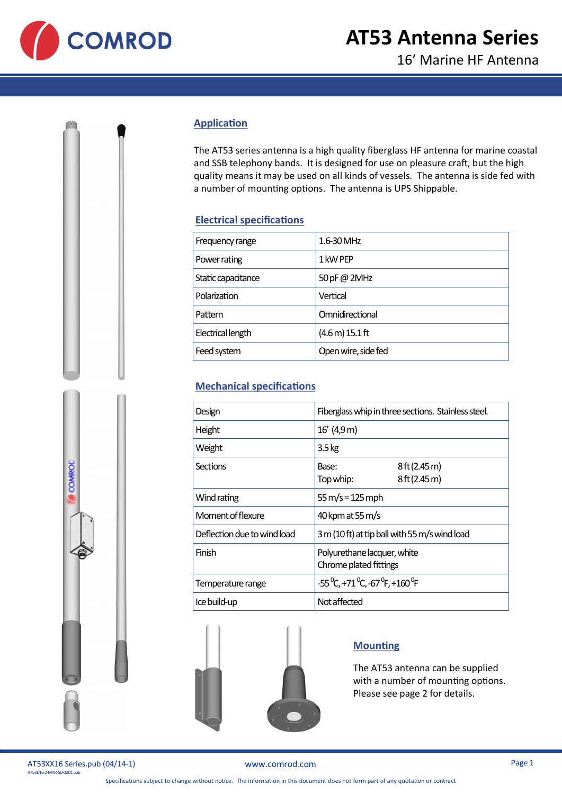

## **Application**

The AT53 series antenna is a high quality fiberglass HF antenna for marine coastal and SSB telephony bands. It is designed for use on pleasure craft, but the high quality means it may be used on all kinds of vessels. The antenna is side fed with a number of mounting options. The antenna is UPS Shippable.

## **Electrical specifications**

| Frequency range    | 1.6-30 MHz          |
|--------------------|---------------------|
| Power rating       | 1 kW PEP            |
| Static capacitance | 50 pF @ 2MHz        |
| Polarization       | Vertical            |
| Pattern            | Omnidirectional     |
| Electrical length  | (4.6 m) 15.1 ft     |
| Feed system        | Open wire, side fed |

## **Mechanical specifications**

| Design                      | Fiberglass whip in three sections. Stainless steel.                    |                          |
|-----------------------------|------------------------------------------------------------------------|--------------------------|
| Height                      | 16' (4,9 m)                                                            |                          |
| Weight                      | $3.5 \,\mathrm{kg}$                                                    |                          |
| Sections                    | Base:<br>Top whip:                                                     | 8ft(2.45m)<br>8ft(2.45m) |
| Wind rating                 | $55 \,\mathrm{m/s} = 125 \,\mathrm{mph}$                               |                          |
| Moment of flexure           | 40 kpm at 55 m/s                                                       |                          |
| Deflection due to wind load | 3 m (10 ft) at tip ball with 55 m/s wind load                          |                          |
| Finish                      | Polyurethane lacquer, white<br>Chrome plated fittings                  |                          |
| Temperature range           | $-55^{\circ}$ C, +71 $^{\circ}$ C, -67 $^{\circ}$ F, +160 $^{\circ}$ F |                          |
| Ice build-up                | Not affected                                                           |                          |



## **Mounting**

The AT53 antenna can be supplied with a number of mounting options. Please see page 2 for details.





[www.comrod.com](http://www.comrod.com) Page 1